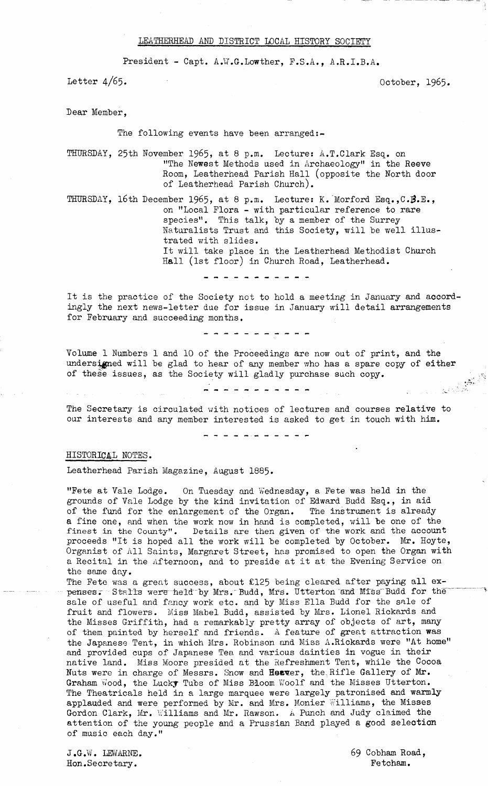## LEATHERHEAD AMD DISTRICT LOCAL HISTORY SOCIETY

**President - Capt. A .¥.G .Lowther, F.S.A., A.R.I.B.A.**

Letter  $4/65$ . 0ctober, 1965.

**Bear Member,**

**The following events have been arranged**

**THURSDAY, 25th November 19^5» at 8 p.m. Lecture: A.T.Clark Esq. on "The Newest Methods used in Archaeology" in the Reeve Room, Leatherhead Parish Hall (opposite the North door of Leatherhead Parish Church).**

**THURSDAY, 16th December 1965? 8 p.m. Lecture: K."Morford Esq.,C.#.E., on "Local Flora - with particular reference to rare species". This talk, by a member of the Surrey Naturalists Trust and this Society, will be well illustrated with slides. It will take place in the Leatherhead Methodist Church Hall (1st floor) in Church Road, Leatherhead.**

- - - - - - - - - - -

**It is the practice of the Society not to hold a meeting in January and accordingly the next news-letter due for issue in January will detail arrangements for February and succeeding months.**

- - - - - - - - - - -

**Volume 1 Numbers 1 and 10 of the Proceedings are now out of print, and the** undersigned will be glad to hear of any member who has a spare copy of either of these issues, as the Society will gladly purchase such copy. **of these issues, as the Society will gladly purchase such copy.**

-----------

**The Secretary is circulated with notices of lectures and courses relative to our interests and any member interested is asked to get in touch with him.**

- - - - - - - - -

## **HISTORICAL NOTES.**

**Leatherhead Parish Magazine, August 1885.**

**"Fete at Vale Lodge. On Tuesday and Wednesday, a Fete was held in the grounds of Vale Lodge by the kind invitation of Edward Budd Esq., in aid of the fund for the enlargement of the Organ. The instrument is already a fine one, and when the work now in hand is completed, will be one of the finest in the County". Details are then given of the work and the account proceeds "It is hoped all the work will be completed by October. Mr. Hoyte, Organist of All Saints, Margaret Street, has promised to open the Organ with a Recital in the Afternoon, and to preside at it at the Evening Service on the same day.**

**The Fete was a great success, about £125 being cleared after paying all ex-** $\mathbf p$ enses. Stalls were held by Mrs. Budd, Mrs. Utterton and Miss Budd for the **sale of useful and fancy work etc. and by Miss Ella Budd for the sale of fruit and flowers. Miss Mabel Budd, assisted by Mrs. Lionel Rickards and the Misses Griffith, had a remarkably pretty array of objects of art, many of them painted by herself and friends. A feature of great attraction was the Japanese Tent, in which Mrs. Robinson and Miss A.Rickards were "At home" and provided cups of Japanese Tea and various dainties in vogue in their native land. Miss Moore presided at the Refreshment Tent, while the Cocoa** Nuts were in charge of Messrs. Snow and Heaver, the Rifle Gallery of Mr. **Graham Wood, the Lucky Tubs of Miss Bloom Woolf and the Misses Utterton. The Theatricals held in a large marquee were largely patronised and warmly applauded and were performed by Mr. and Mrs. Monier Williams, the Misses Gordon Clark, Mr. Williams and Mr. Rawson. A Punch and Judy claimed the attention of the young people and a Prussian Band played a good selection of music each day."**

**J.G.W. LEWARNE. Hon.Secretary.**

69 **Cobham Road, Fetcham.**